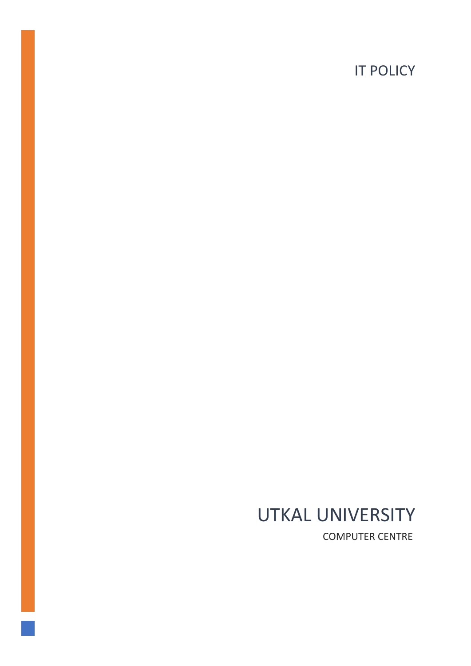# **IT POLICY**

# UTKAL UNIVERSITY COMPUTER CENTRE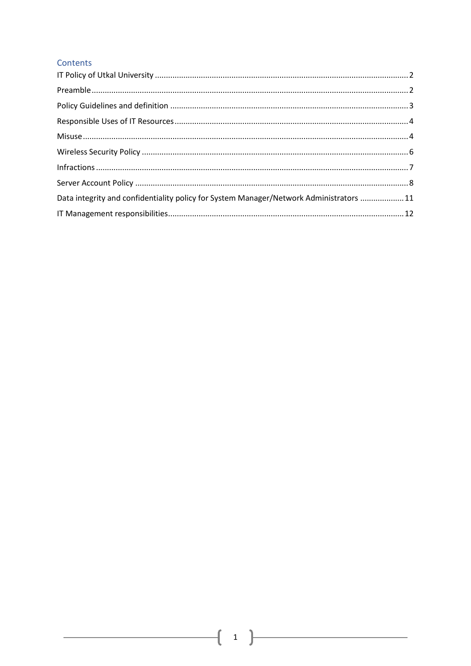#### Contents

| Data integrity and confidentiality policy for System Manager/Network Administrators 11 |
|----------------------------------------------------------------------------------------|
|                                                                                        |

<u> 1980 - Jan Alexandria (</u>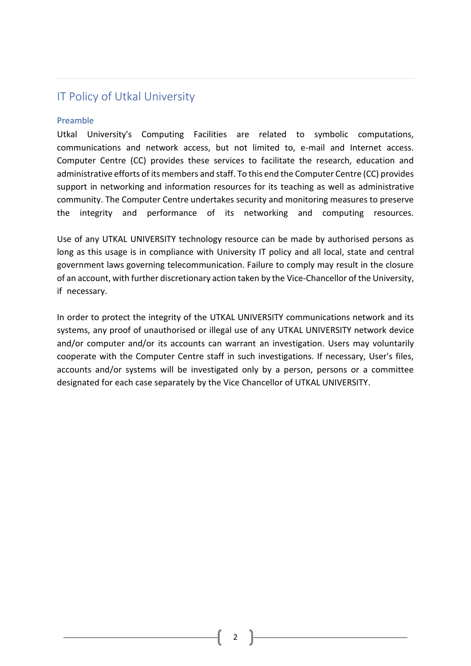## <span id="page-2-0"></span>IT Policy of Utkal University

#### <span id="page-2-1"></span>Preamble

Utkal University's Computing Facilities are related to symbolic computations, communications and network access, but not limited to, e-mail and Internet access. Computer Centre (CC) provides these services to facilitate the research, education and administrative efforts of its members and staff. To this end the Computer Centre (CC) provides support in networking and information resources for its teaching as well as administrative community. The Computer Centre undertakes security and monitoring measures to preserve the integrity and performance of its networking and computing resources.

Use of any UTKAL UNIVERSITY technology resource can be made by authorised persons as long as this usage is in compliance with University IT policy and all local, state and central government laws governing telecommunication. Failure to comply may result in the closure of an account, with further discretionary action taken by the Vice-Chancellor of the University, if\_necessary.

In order to protect the integrity of the UTKAL UNIVERSITY communications network and its systems, any proof of unauthorised or illegal use of any UTKAL UNIVERSITY network device and/or computer and/or its accounts can warrant an investigation. Users may voluntarily cooperate with the Computer Centre staff in such investigations. If necessary, User's files, accounts and/or systems will be investigated only by a person, persons or a committee designated for each case separately by the Vice Chancellor of UTKAL UNIVERSITY.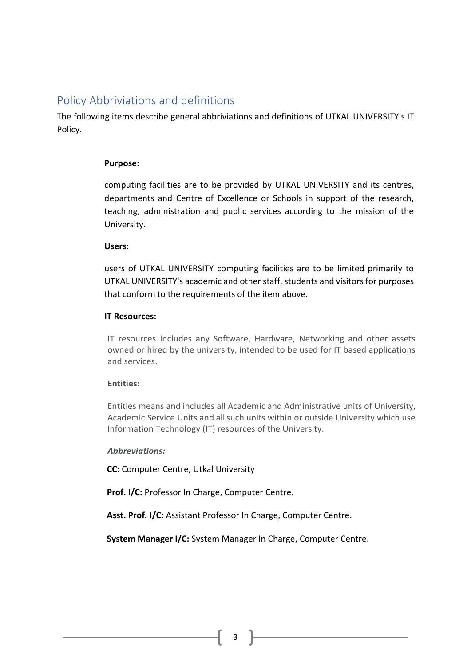## <span id="page-3-0"></span>Policy Abbriviations and definitions

The following items describe general abbriviations and definitions of UTKAL UNIVERSITY's IT Policy.

#### **Purpose:**

computing facilities are to be provided by UTKAL UNIVERSITY and its centres, departments and Centre of Excellence or Schools in support of the research, teaching, administration and public services according to the mission of the University.

#### **Users:**

users of UTKAL UNIVERSITY computing facilities are to be limited primarily to UTKAL UNIVERSITY's academic and other staff, students and visitors for purposes that conform to the requirements of the item above.

#### **IT Resources:**

IT resources includes any Software, Hardware, Networking and other assets owned or hired by the university, intended to be used for IT based applications and services.

#### **Entities:**

Entities means and includes all Academic and Administrative units of University, Academic Service Units and allsuch units within or outside University which use Information Technology (IT) resources of the University.

#### *Abbreviations:*

**CC:** Computer Centre, Utkal University

**Prof. I/C:** Professor In Charge, Computer Centre.

**Asst. Prof. I/C:** Assistant Professor In Charge, Computer Centre.

**System Manager I/C:** System Manager In Charge, Computer Centre.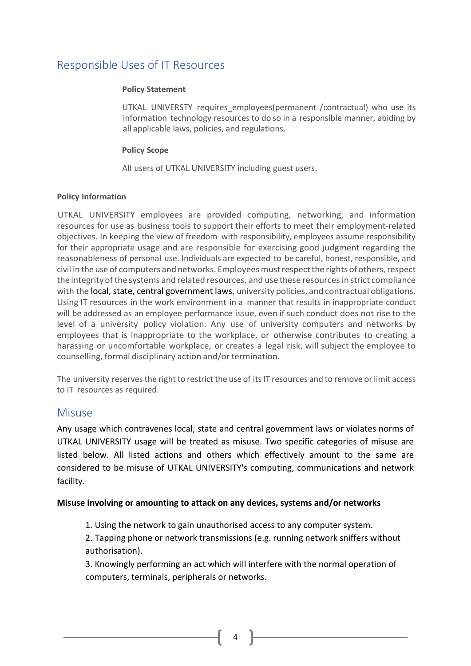## <span id="page-4-0"></span>Responsible Uses of IT Resources

#### **Policy Statement**

UTKAL\_UNIVERSTY\_requires\_employees(permanent /contractual) who use its information technology resources to do so in a responsible manner, abiding by all applicable laws, policies, and regulations.

#### **Policy Scope**

All users of UTKAL UNIVERSITY including guest users.

#### **Policy Information**

UTKAL UNIVERSITY employees are provided computing, networking, and information resources for use as business tools to support their efforts to meet their employment-related objectives. In keeping the view of freedom with responsibility, employees assume responsibility for their appropriate usage and are responsible for exercising good judgment regarding the reasonableness of personal use. Individuals are expected to be careful, honest, responsible, and civil in the use of computers and networks. Employees must respect the rights of others, respect the integrityof the systems and related resources, and use these resources in strict compliance with the local, state, central government laws, university policies, and contractual obligations. Using IT resources in the work environment in a manner that results in inappropriate conduct will be addressed as an employee performance issue, even if such conduct does not rise to the level of a university policy violation. Any use of university computers and networks by employees that is inappropriate to the workplace, or otherwise contributes to creating a harassing or uncomfortable workplace, or creates a legal risk, will subject the employee to counselling, formal disciplinary action and/or termination.

The university reserves the right to restrict the use of its IT resources and to remove or limit access to IT resources as required.

## <span id="page-4-1"></span>Misuse

Any usage which contravenes local, state and central government laws or violates norms of UTKAL UNIVERSITY usage will be treated as misuse. Two specific categories of misuse are listed below. All listed actions and others which effectively amount to the same are considered to be misuse of UTKAL UNIVERSITY's computing, communications and network facility.

#### **Misuse involving or amounting to attack on any devices, systems and/or networks**

1. Using the network to gain unauthorised access to any computer system.

2. Tapping phone or network transmissions (e.g. running network sniffers without authorisation).

3. Knowingly performing an act which will interfere with the normal operation of computers, terminals, peripherals or networks.

4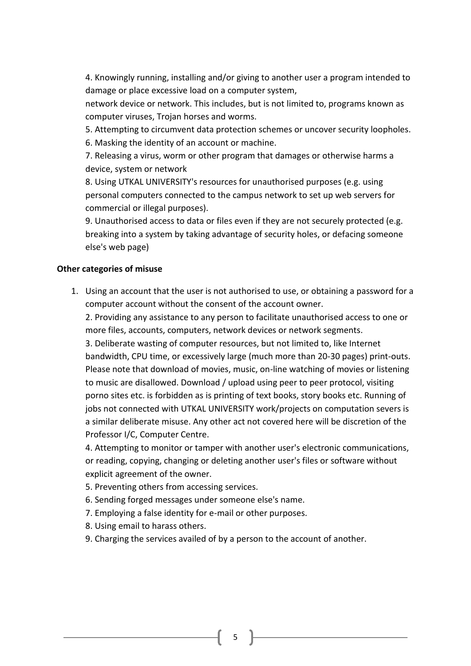4. Knowingly running, installing and/or giving to another user a program intended to damage or place excessive load on a computer system,

network device or network. This includes, but is not limited to, programs known as computer viruses, Trojan horses and worms.

5. Attempting to circumvent data protection schemes or uncover security loopholes.

6. Masking the identity of an account or machine.

7. Releasing a virus, worm or other program that damages or otherwise harms a device, system or network

8. Using UTKAL UNIVERSITY's resources for unauthorised purposes (e.g. using personal computers connected to the campus network to set up web servers for commercial or illegal purposes).

9. Unauthorised access to data or files even if they are not securely protected (e.g. breaking into a system by taking advantage of security holes, or defacing someone else's web page)

### **Other categories of misuse**

1. Using an account that the user is not authorised to use, or obtaining a password for a computer account without the consent of the account owner.

2. Providing any assistance to any person to facilitate unauthorised access to one or more files, accounts, computers, network devices or network segments.

3. Deliberate wasting of computer resources, but not limited to, like Internet bandwidth, CPU time, or excessively large (much more than 20-30 pages) print-outs. Please note that download of movies, music, on-line watching of movies or listening to music are disallowed. Download / upload using peer to peer protocol, visiting porno sites etc. is forbidden as is printing of text books, story books etc. Running of jobs not connected with UTKAL UNIVERSITY work/projects on computation severs is a similar deliberate misuse. Any other act not covered here will be discretion of the Professor I/C, Computer Centre.

4. Attempting to monitor or tamper with another user's electronic communications, or reading, copying, changing or deleting another user's files or software without explicit agreement of the owner.

- 5. Preventing others from accessing services.
- 6. Sending forged messages under someone else's name.
- 7. Employing a false identity for e-mail or other purposes.
- 8. Using email to harass others.
- 9. Charging the services availed of by a person to the account of another.

5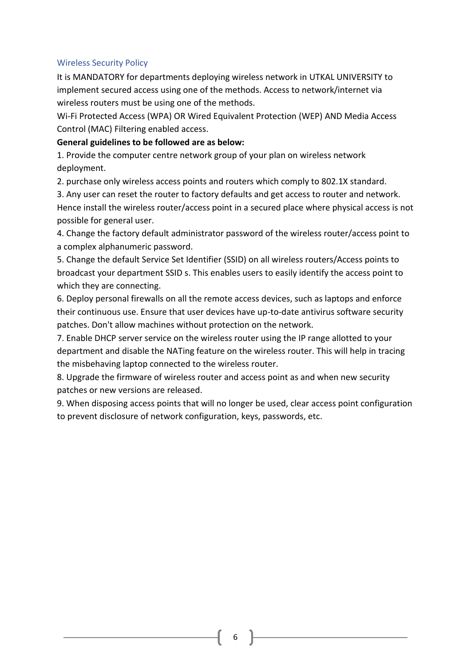#### <span id="page-6-0"></span>Wireless Security Policy

It is MANDATORY for departments deploying wireless network in UTKAL UNIVERSITY to implement secured access using one of the methods. Access to network/internet via wireless routers must be using one of the methods.

Wi-Fi Protected Access (WPA) OR Wired Equivalent Protection (WEP) AND Media Access Control (MAC) Filtering enabled access.

#### **General guidelines to be followed are as below:**

1. Provide the computer centre network group of your plan on wireless network deployment.

2. purchase only wireless access points and routers which comply to 802.1X standard.

3. Any user can reset the router to factory defaults and get access to router and network. Hence install the wireless router/access point in a secured place where physical access is not possible for general user.

4. Change the factory default administrator password of the wireless router/access point to a complex alphanumeric password.

5. Change the default Service Set Identifier (SSID) on all wireless routers/Access points to broadcast your department SSID s. This enables users to easily identify the access point to which they are connecting.

6. Deploy personal firewalls on all the remote access devices, such as laptops and enforce their continuous use. Ensure that user devices have up-to-date antivirus software security patches. Don't allow machines without protection on the network.

7. Enable DHCP server service on the wireless router using the IP range allotted to your department and disable the NATing feature on the wireless router. This will help in tracing the misbehaving laptop connected to the wireless router.

8. Upgrade the firmware of wireless router and access point as and when new security patches or new versions are released.

9. When disposing access points that will no longer be used, clear access point configuration to prevent disclosure of network configuration, keys, passwords, etc.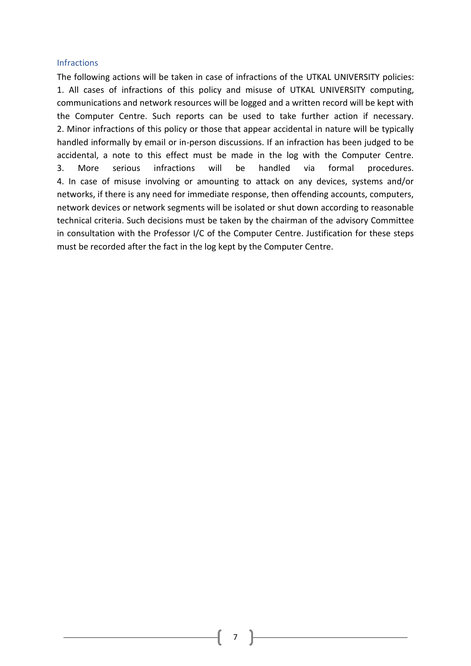#### <span id="page-7-0"></span>**Infractions**

The following actions will be taken in case of infractions of the UTKAL UNIVERSITY policies: 1. All cases of infractions of this policy and misuse of UTKAL UNIVERSITY computing, communications and network resources will be logged and a written record will be kept with the Computer Centre. Such reports can be used to take further action if necessary. 2. Minor infractions of this policy or those that appear accidental in nature will be typically handled informally by email or in-person discussions. If an infraction has been judged to be accidental, a note to this effect must be made in the log with the Computer Centre. 3. More serious infractions will be handled via formal procedures. 4. In case of misuse involving or amounting to attack on any devices, systems and/or networks, if there is any need for immediate response, then offending accounts, computers, network devices or network segments will be isolated or shut down according to reasonable technical criteria. Such decisions must be taken by the chairman of the advisory Committee in consultation with the Professor I/C of the Computer Centre. Justification for these steps must be recorded after the fact in the log kept by the Computer Centre.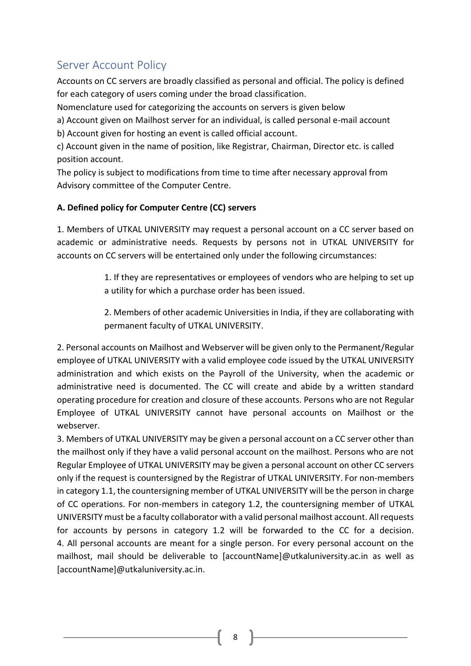# <span id="page-8-0"></span>Server Account Policy

Accounts on CC servers are broadly classified as personal and official. The policy is defined for each category of users coming under the broad classification.

Nomenclature used for categorizing the accounts on servers is given below

a) Account given on Mailhost server for an individual, is called personal e-mail account b) Account given for hosting an event is called official account.

c) Account given in the name of position, like Registrar, Chairman, Director etc. is called position account.

The policy is subject to modifications from time to time after necessary approval from Advisory committee of the Computer Centre.

## **A. Defined policy for Computer Centre (CC) servers**

1. Members of UTKAL UNIVERSITY may request a personal account on a CC server based on academic or administrative needs. Requests by persons not in UTKAL UNIVERSITY for accounts on CC servers will be entertained only under the following circumstances:

> 1. If they are representatives or employees of vendors who are helping to set up a utility for which a purchase order has been issued.

> 2. Members of other academic Universities in India, if they are collaborating with permanent faculty of UTKAL UNIVERSITY.

2. Personal accounts on Mailhost and Webserver will be given only to the Permanent/Regular employee of UTKAL UNIVERSITY with a valid employee code issued by the UTKAL UNIVERSITY administration and which exists on the Payroll of the University, when the academic or administrative need is documented. The CC will create and abide by a written standard operating procedure for creation and closure of these accounts. Persons who are not Regular Employee of UTKAL UNIVERSITY cannot have personal accounts on Mailhost or the webserver.

3. Members of UTKAL UNIVERSITY may be given a personal account on a CC server other than the mailhost only if they have a valid personal account on the mailhost. Persons who are not Regular Employee of UTKAL UNIVERSITY may be given a personal account on other CC servers only if the request is countersigned by the Registrar of UTKAL UNIVERSITY. For non-members in category 1.1, the countersigning member of UTKAL UNIVERSITY will be the person in charge of CC operations. For non-members in category 1.2, the countersigning member of UTKAL UNIVERSITY must be a faculty collaborator with a valid personal mailhost account. All requests for accounts by persons in category 1.2 will be forwarded to the CC for a decision. 4. All personal accounts are meant for a single person. For every personal account on the mailhost, mail should be deliverable to [accountName]@utkaluniversity.ac.in as well as [accountName]@utkaluniversity.ac.in.

8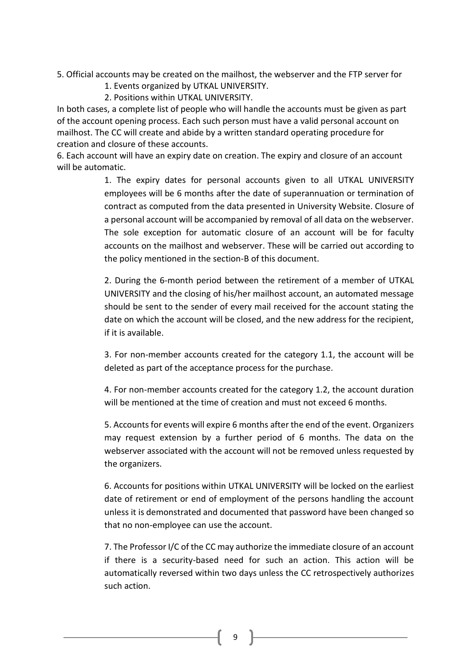5. Official accounts may be created on the mailhost, the webserver and the FTP server for

- 1. Events organized by UTKAL UNIVERSITY.
- 2. Positions within UTKAL UNIVERSITY.

In both cases, a complete list of people who will handle the accounts must be given as part of the account opening process. Each such person must have a valid personal account on mailhost. The CC will create and abide by a written standard operating procedure for creation and closure of these accounts.

6. Each account will have an expiry date on creation. The expiry and closure of an account will be automatic.

> 1. The expiry dates for personal accounts given to all UTKAL UNIVERSITY employees will be 6 months after the date of superannuation or termination of contract as computed from the data presented in University Website. Closure of a personal account will be accompanied by removal of all data on the webserver. The sole exception for automatic closure of an account will be for faculty accounts on the mailhost and webserver. These will be carried out according to the policy mentioned in the section-B of this document.

> 2. During the 6-month period between the retirement of a member of UTKAL UNIVERSITY and the closing of his/her mailhost account, an automated message should be sent to the sender of every mail received for the account stating the date on which the account will be closed, and the new address for the recipient, if it is available.

> 3. For non-member accounts created for the category 1.1, the account will be deleted as part of the acceptance process for the purchase.

> 4. For non-member accounts created for the category 1.2, the account duration will be mentioned at the time of creation and must not exceed 6 months.

> 5. Accounts for events will expire 6 months after the end of the event. Organizers may request extension by a further period of 6 months. The data on the webserver associated with the account will not be removed unless requested by the organizers.

> 6. Accounts for positions within UTKAL UNIVERSITY will be locked on the earliest date of retirement or end of employment of the persons handling the account unless it is demonstrated and documented that password have been changed so that no non-employee can use the account.

> 7. The Professor I/C of the CC may authorize the immediate closure of an account if there is a security-based need for such an action. This action will be automatically reversed within two days unless the CC retrospectively authorizes such action.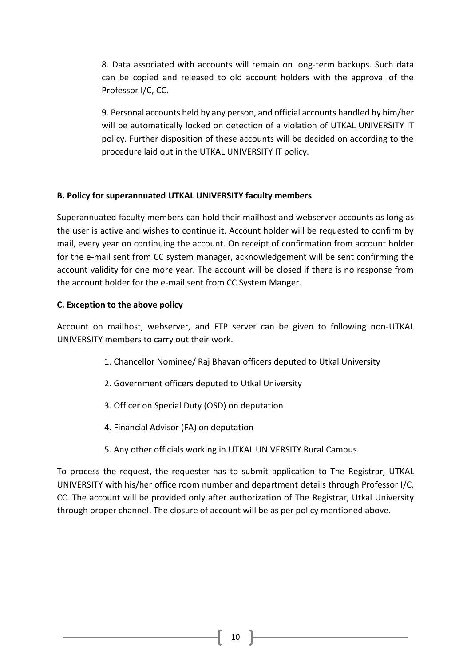8. Data associated with accounts will remain on long-term backups. Such data can be copied and released to old account holders with the approval of the Professor I/C, CC.

9. Personal accounts held by any person, and official accounts handled by him/her will be automatically locked on detection of a violation of UTKAL UNIVERSITY IT policy. Further disposition of these accounts will be decided on according to the procedure laid out in the UTKAL UNIVERSITY IT policy.

#### **B. Policy for superannuated UTKAL UNIVERSITY faculty members**

Superannuated faculty members can hold their mailhost and webserver accounts as long as the user is active and wishes to continue it. Account holder will be requested to confirm by mail, every year on continuing the account. On receipt of confirmation from account holder for the e-mail sent from CC system manager, acknowledgement will be sent confirming the account validity for one more year. The account will be closed if there is no response from the account holder for the e-mail sent from CC System Manger.

#### **C. Exception to the above policy**

Account on mailhost, webserver, and FTP server can be given to following non-UTKAL UNIVERSITY members to carry out their work.

- 1. Chancellor Nominee/ Raj Bhavan officers deputed to Utkal University
- 2. Government officers deputed to Utkal University
- 3. Officer on Special Duty (OSD) on deputation
- 4. Financial Advisor (FA) on deputation
- 5. Any other officials working in UTKAL UNIVERSITY Rural Campus.

To process the request, the requester has to submit application to The Registrar, UTKAL UNIVERSITY with his/her office room number and department details through Professor I/C, CC. The account will be provided only after authorization of The Registrar, Utkal University through proper channel. The closure of account will be as per policy mentioned above.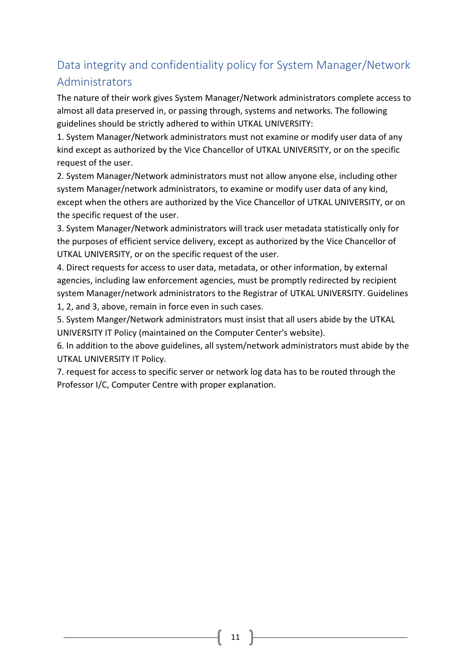# <span id="page-11-0"></span>Data integrity and confidentiality policy for System Manager/Network Administrators

The nature of their work gives System Manager/Network administrators complete access to almost all data preserved in, or passing through, systems and networks. The following guidelines should be strictly adhered to within UTKAL UNIVERSITY:

1. System Manager/Network administrators must not examine or modify user data of any kind except as authorized by the Vice Chancellor of UTKAL UNIVERSITY, or on the specific request of the user.

2. System Manager/Network administrators must not allow anyone else, including other system Manager/network administrators, to examine or modify user data of any kind, except when the others are authorized by the Vice Chancellor of UTKAL UNIVERSITY, or on the specific request of the user.

3. System Manager/Network administrators will track user metadata statistically only for the purposes of efficient service delivery, except as authorized by the Vice Chancellor of UTKAL UNIVERSITY, or on the specific request of the user.

4. Direct requests for access to user data, metadata, or other information, by external agencies, including law enforcement agencies, must be promptly redirected by recipient system Manager/network administrators to the Registrar of UTKAL UNIVERSITY. Guidelines 1, 2, and 3, above, remain in force even in such cases.

5. System Manger/Network administrators must insist that all users abide by the UTKAL UNIVERSITY IT Policy (maintained on the Computer Center's website).

6. In addition to the above guidelines, all system/network administrators must abide by the UTKAL UNIVERSITY IT Policy.

7. request for access to specific server or network log data has to be routed through the Professor I/C, Computer Centre with proper explanation.